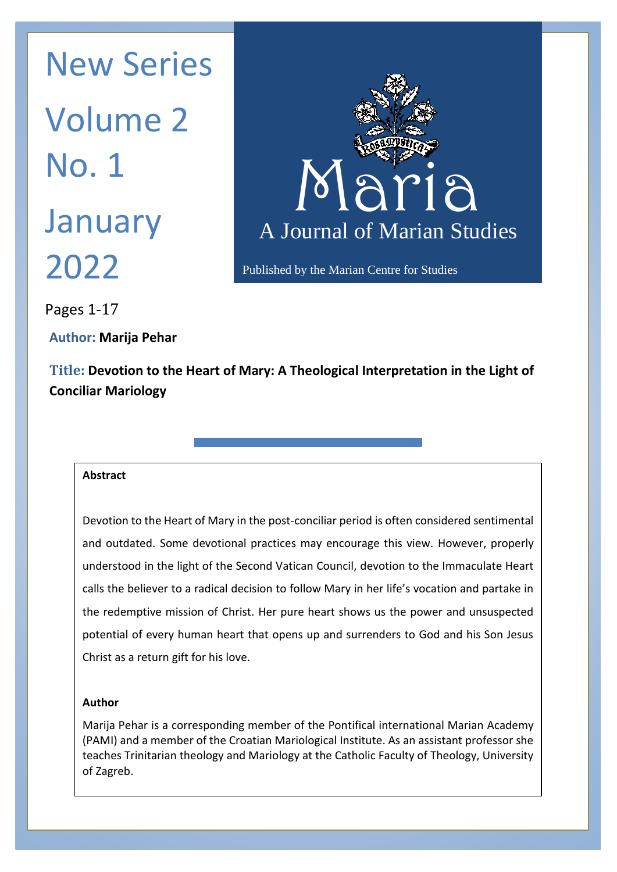January A Journal New Series Volume 2 No. 1 2022



Pages 1-17

**Author: Marija Pehar**

**Title: Devotion to the Heart of Mary: A Theological Interpretation in the Light of Conciliar Mariology**

 $S_{\rm eff}$  thinking about Mary is usually based on  $C_{\rm eff}$  and is derived from it. This derived from it. This derived from it. This derived from it. This derived from it. This derived from it. This derived from it. This de

Mariological postulate was established by the early Church, classical and medieval theology insisted on it,<sup>1</sup> and

same line. However, this postulate is not valid only for the theological doctrine of Mary, but also for Marian

#### $\alpha$  motion  $\alpha$ **Abstract**

Devotion to the Heart of Mary in the post-conciliar period is often considered sentimental  $\vert$ and outdated. Some devotional practices may encourage this view. However, properly  $|$ understood in the light of the Second Vatican Council, devotion to the Immaculate Heart  $|$ calls the believer to a radical decision to follow Mary in her life's vocation and partake in  $\vert$ the redemptive mission of Christ. Her pure heart shows us the power and unsuspected  $\vert$ potential of every human heart that opens up and surrenders to God and his Son Jesus  $\vert$ This is a return gift for his love. This immaculate Heart of Mary (*cornic immaculatum*), which is a return of Ma

#### $\begin{array}{|c|c|c|c|c|}\hline \text{Author} & \text{5.55} & \text{6.55} & \text{6.55} & \text{6.55} & \text{6.55} & \text{6.55} & \text{6.55} & \text{6.55} & \text{6.55} & \text{6.55} & \text{6.55} & \text{6.55} & \text{6.55} & \text{6.55} & \text{6.55} & \text{6.55} & \text{6.55} & \text{6.55} & \text{6.55} & \text{6.55} & \text{6.55} & \text{6.5$ **Author**

Son, i.e., his heart – the heart of Jesus.

**The theology of devotion to the Heart of Jesus**

Marija Pehar is a corresponding member of the Pontifical international Marian Academy  $\vert$  $\vert$  (PAMI) and a member of the Croatian Mariological Institute. As an assistant professor she  $\vert$ teaches Trinitarian theology and Mariology at the Catholic Faculty of Theology, University | of Zagreb.

which derives its theological foundation and content from the theology of the Heart of Jesus and is located to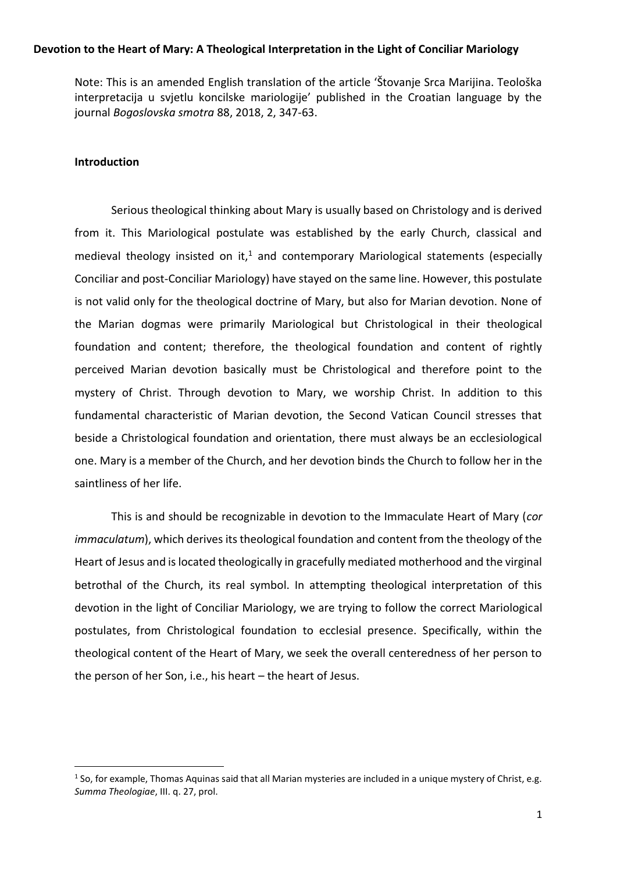Note: This is an amended English translation of the article ʻŠtovanje Srca Marijina. Teološka interpretacija u svjetlu koncilske mariologije' published in the Croatian language by the journal *Bogoslovska smotra* 88, 2018, 2, 347-63.

#### **Introduction**

Serious theological thinking about Mary is usually based on Christology and is derived from it. This Mariological postulate was established by the early Church, classical and medieval theology insisted on it,<sup>1</sup> and contemporary Mariological statements (especially Conciliar and post-Conciliar Mariology) have stayed on the same line. However, this postulate is not valid only for the theological doctrine of Mary, but also for Marian devotion. None of the Marian dogmas were primarily Mariological but Christological in their theological foundation and content; therefore, the theological foundation and content of rightly perceived Marian devotion basically must be Christological and therefore point to the mystery of Christ. Through devotion to Mary, we worship Christ. In addition to this fundamental characteristic of Marian devotion, the Second Vatican Council stresses that beside a Christological foundation and orientation, there must always be an ecclesiological one. Mary is a member of the Church, and her devotion binds the Church to follow her in the saintliness of her life.

This is and should be recognizable in devotion to the Immaculate Heart of Mary (*cor immaculatum*), which derives its theological foundation and content from the theology of the Heart of Jesus and is located theologically in gracefully mediated motherhood and the virginal betrothal of the Church, its real symbol. In attempting theological interpretation of this devotion in the light of Conciliar Mariology, we are trying to follow the correct Mariological postulates, from Christological foundation to ecclesial presence. Specifically, within the theological content of the Heart of Mary, we seek the overall centeredness of her person to the person of her Son, i.e., his heart – the heart of Jesus.

 $1$  So, for example, Thomas Aquinas said that all Marian mysteries are included in a unique mystery of Christ, e.g. *Summa Theologiae*, III. q. 27, prol.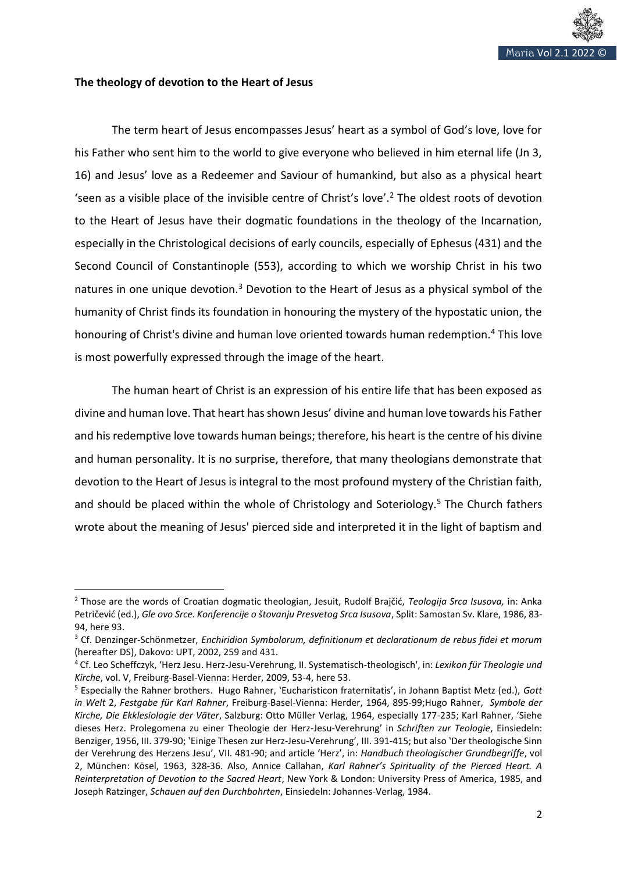

#### **The theology of devotion to the Heart of Jesus**

The term heart of Jesus encompasses Jesus' heart as a symbol of God's love, love for his Father who sent him to the world to give everyone who believed in him eternal life (Jn 3, 16) and Jesus' love as a Redeemer and Saviour of humankind, but also as a physical heart 'seen as a visible place of the invisible centre of Christ's love'.<sup>2</sup> The oldest roots of devotion to the Heart of Jesus have their dogmatic foundations in the theology of the Incarnation, especially in the Christological decisions of early councils, especially of Ephesus (431) and the Second Council of Constantinople (553), according to which we worship Christ in his two natures in one unique devotion.<sup>3</sup> Devotion to the Heart of Jesus as a physical symbol of the humanity of Christ finds its foundation in honouring the mystery of the hypostatic union, the honouring of Christ's divine and human love oriented towards human redemption.<sup>4</sup> This love is most powerfully expressed through the image of the heart.

The human heart of Christ is an expression of his entire life that has been exposed as divine and human love. That heart has shown Jesus' divine and human love towards his Father and his redemptive love towards human beings; therefore, his heart is the centre of his divine and human personality. It is no surprise, therefore, that many theologians demonstrate that devotion to the Heart of Jesus is integral to the most profound mystery of the Christian faith, and should be placed within the whole of Christology and Soteriology.<sup>5</sup> The Church fathers wrote about the meaning of Jesus' pierced side and interpreted it in the light of baptism and

<sup>2</sup> Those are the words of Croatian dogmatic theologian, Jesuit, Rudolf Brajčić, *Teologija Srca Isusova,* in: Anka Petričević (ed.), *Gle ovo Srce. Konferencije o štovanju Presvetog Srca Isusova*, Split: Samostan Sv. Klare, 1986, 83- 94, here 93.

<sup>3</sup> Cf. Denzinger-Schönmetzer, *Enchiridion Symbolorum, definitionum et declarationum de rebus fidei et morum* (hereafter DS), Dakovo: UPT, 2002, 259 and 431.

<sup>4</sup> Cf. Leo Scheffczyk, 'Herz Jesu. Herz-Jesu-Verehrung, II. Systematisch-theologisch', in: *Lexikon für Theologie und Kirche*, vol. V, Freiburg-Basel-Vienna: Herder, 2009, 53-4, here 53.

<sup>5</sup> Especially the Rahner brothers. Hugo Rahner, 'Eucharisticon fraternitatis', in Johann Baptist Metz (ed.), *Gott in Welt* 2, *Festgabe für Karl Rahner*, Freiburg-Basel-Vienna: Herder, 1964, 895-99;Hugo Rahner, *Symbole der Kirche, Die Ekklesiologie der Väter*, Salzburg: Otto Müller Verlag, 1964, especially 177-235; Karl Rahner, 'Siehe dieses Herz. Prolegomena zu einer Theologie der Herz-Jesu-Verehrung' in *Schriften zur Teologie*, Einsiedeln: Benziger, 1956, III. 379-90; 'Einige Thesen zur Herz-Jesu-Verehrung', III. 391-415; but also 'Der theologische Sinn der Verehrung des Herzens Jesu', VII. 481-90; and article 'Herz', in: *Handbuch theologischer Grundbegriffe*, vol 2, München: Kōsel, 1963, 328-36. Also, Annice Callahan, *Karl Rahner's Spirituality of the Pierced Heart. A Reinterpretation of Devotion to the Sacred Heart*, New York & London: University Press of America, 1985, and Joseph Ratzinger, *Schauen auf den Durchbohrten*, Einsiedeln: Johannes-Verlag, 1984.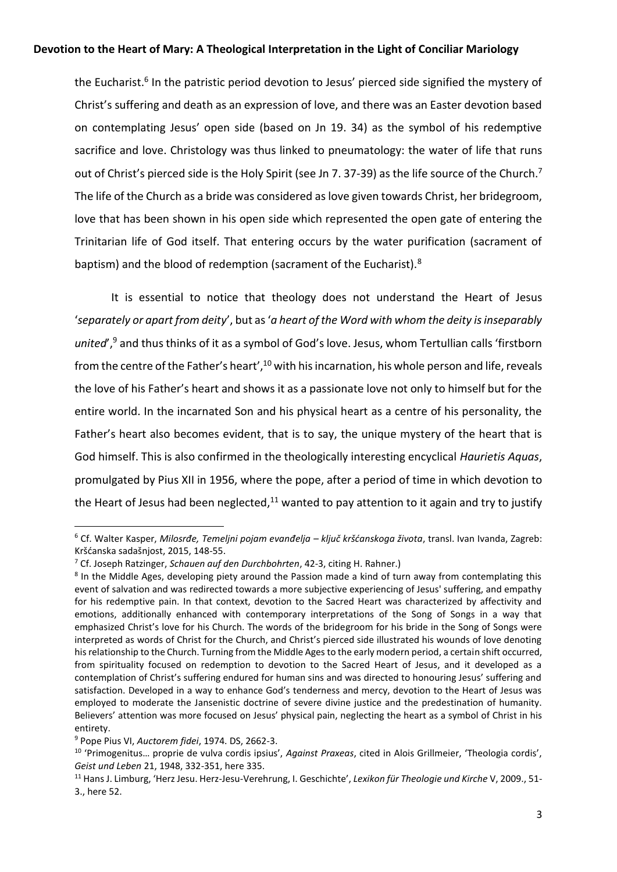the Eucharist.<sup>6</sup> In the patristic period devotion to Jesus' pierced side signified the mystery of Christ's suffering and death as an expression of love, and there was an Easter devotion based on contemplating Jesus' open side (based on Jn 19. 34) as the symbol of his redemptive sacrifice and love. Christology was thus linked to pneumatology: the water of life that runs out of Christ's pierced side is the Holy Spirit (see Jn 7. 37-39) as the life source of the Church.<sup>7</sup> The life of the Church as a bride was considered as love given towards Christ, her bridegroom, love that has been shown in his open side which represented the open gate of entering the Trinitarian life of God itself. That entering occurs by the water purification (sacrament of baptism) and the blood of redemption (sacrament of the Eucharist).<sup>8</sup>

It is essential to notice that theology does not understand the Heart of Jesus '*separately or apart from deity*', but as '*a heart of the Word with whom the deity is inseparably united*',<sup>9</sup> and thus thinks of it as a symbol of God's love. Jesus, whom Tertullian calls 'firstborn from the centre of the Father's heart',<sup>10</sup> with his incarnation, his whole person and life, reveals the love of his Father's heart and shows it as a passionate love not only to himself but for the entire world. In the incarnated Son and his physical heart as a centre of his personality, the Father's heart also becomes evident, that is to say, the unique mystery of the heart that is God himself. This is also confirmed in the theologically interesting encyclical *Haurietis Aquas*, promulgated by Pius XII in 1956, where the pope, after a period of time in which devotion to the Heart of Jesus had been neglected, $11$  wanted to pay attention to it again and try to justify

<sup>6</sup> Cf. Walter Kasper, *Milosrđe, Temeljni pojam evanđelja – ključ kršćanskoga života*, transl. Ivan Ivanda, Zagreb: Kršćanska sadašnjost, 2015, 148-55.

<sup>7</sup> Cf. Joseph Ratzinger, *Schauen auf den Durchbohrten*, 42-3, citing H. Rahner.)

<sup>&</sup>lt;sup>8</sup> In the Middle Ages, developing piety around the Passion made a kind of turn away from contemplating this event of salvation and was redirected towards a more subjective experiencing of Jesus' suffering, and empathy for his redemptive pain. In that context, devotion to the Sacred Heart was characterized by affectivity and emotions, additionally enhanced with contemporary interpretations of the Song of Songs in a way that emphasized Christ's love for his Church. The words of the bridegroom for his bride in the Song of Songs were interpreted as words of Christ for the Church, and Christ's pierced side illustrated his wounds of love denoting his relationship to the Church. Turning from the Middle Ages to the early modern period, a certain shift occurred, from spirituality focused on redemption to devotion to the Sacred Heart of Jesus, and it developed as a contemplation of Christ's suffering endured for human sins and was directed to honouring Jesus' suffering and satisfaction. Developed in a way to enhance God's tenderness and mercy, devotion to the Heart of Jesus was employed to moderate the Jansenistic doctrine of severe divine justice and the predestination of humanity. Believers' attention was more focused on Jesus' physical pain, neglecting the heart as a symbol of Christ in his entirety.

<sup>9</sup> Pope Pius VI, *Auctorem fidei*, 1974. DS, 2662-3.

<sup>10</sup> 'Primogenitus… proprie de vulva cordis ipsius', *Against Praxeas*, cited in Alois Grillmeier, 'Theologia cordis', *Geist und Leben* 21, 1948, 332-351, here 335.

<sup>11</sup> Hans J. Limburg, 'Herz Jesu. Herz-Jesu-Verehrung, I. Geschichte', *Lexikon für Theologie und Kirche* V, 2009., 51- 3., here 52.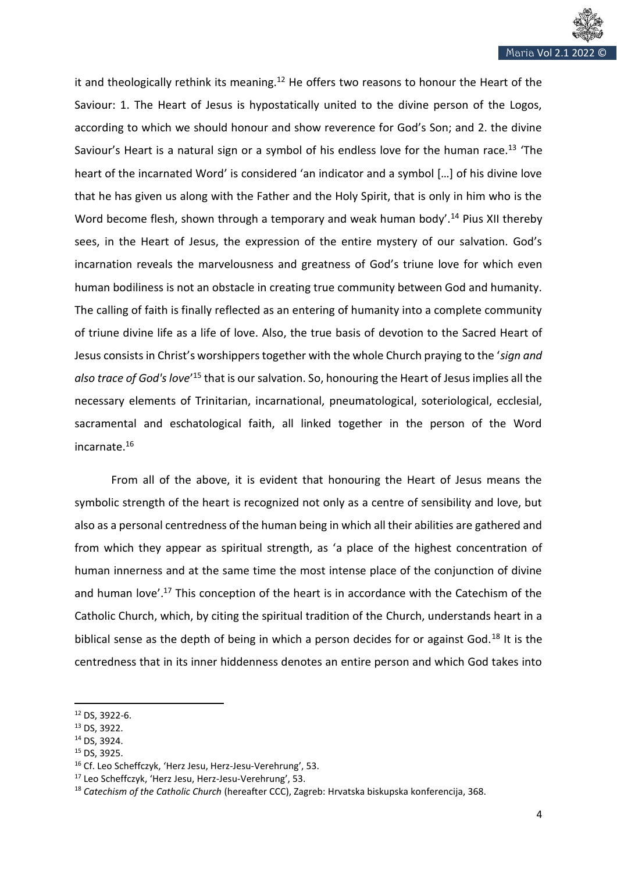

it and theologically rethink its meaning.<sup>12</sup> He offers two reasons to honour the Heart of the Saviour: 1. The Heart of Jesus is hypostatically united to the divine person of the Logos, according to which we should honour and show reverence for God's Son; and 2. the divine Saviour's Heart is a natural sign or a symbol of his endless love for the human race.<sup>13</sup> 'The heart of the incarnated Word' is considered 'an indicator and a symbol […] of his divine love that he has given us along with the Father and the Holy Spirit, that is only in him who is the Word become flesh, shown through a temporary and weak human body'.<sup>14</sup> Pius XII thereby sees, in the Heart of Jesus, the expression of the entire mystery of our salvation. God's incarnation reveals the marvelousness and greatness of God's triune love for which even human bodiliness is not an obstacle in creating true community between God and humanity. The calling of faith is finally reflected as an entering of humanity into a complete community of triune divine life as a life of love. Also, the true basis of devotion to the Sacred Heart of Jesus consists in Christ's worshippers together with the whole Church praying to the '*sign and*  also trace of God's love<sup>'15</sup> that is our salvation. So, honouring the Heart of Jesus implies all the necessary elements of Trinitarian, incarnational, pneumatological, soteriological, ecclesial, sacramental and eschatological faith, all linked together in the person of the Word incarnate.<sup>16</sup>

From all of the above, it is evident that honouring the Heart of Jesus means the symbolic strength of the heart is recognized not only as a centre of sensibility and love, but also as a personal centredness of the human being in which all their abilities are gathered and from which they appear as spiritual strength, as 'a place of the highest concentration of human innerness and at the same time the most intense place of the conjunction of divine and human love'.<sup>17</sup> This conception of the heart is in accordance with the Catechism of the Catholic Church, which, by citing the spiritual tradition of the Church, understands heart in a biblical sense as the depth of being in which a person decides for or against God.<sup>18</sup> It is the centredness that in its inner hiddenness denotes an entire person and which God takes into

<sup>12</sup> DS, 3922-6.

<sup>13</sup> DS, 3922.

<sup>14</sup> DS, 3924.

<sup>15</sup> DS, 3925.

<sup>16</sup> Cf. Leo Scheffczyk, 'Herz Jesu, Herz-Jesu-Verehrung', 53.

<sup>17</sup> Leo Scheffczyk, 'Herz Jesu, Herz-Jesu-Verehrung', 53.

<sup>18</sup> *Catechism of the Catholic Church* (hereafter CCC), Zagreb: Hrvatska biskupska konferencija, 368.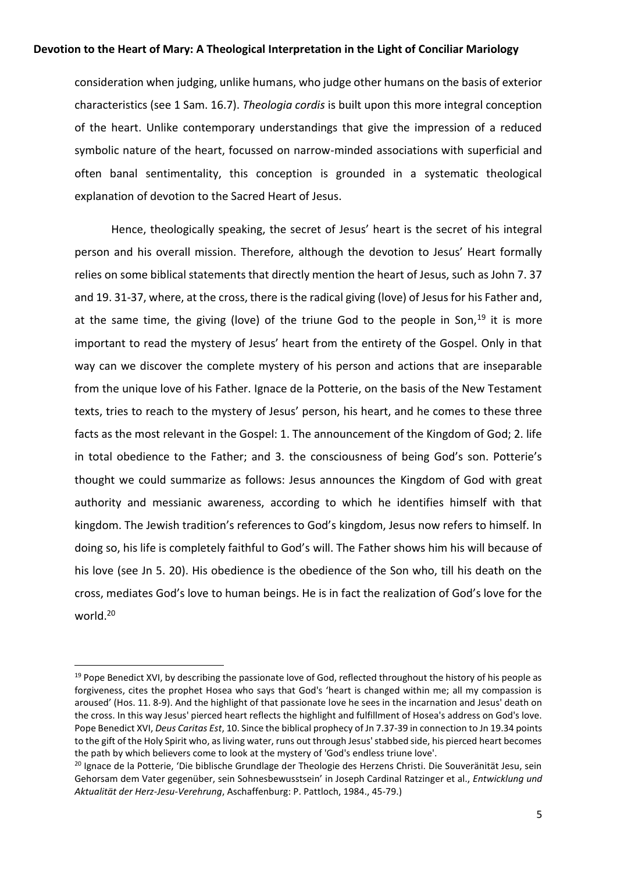consideration when judging, unlike humans, who judge other humans on the basis of exterior characteristics (see 1 Sam. 16.7). *Theologia cordis* is built upon this more integral conception of the heart. Unlike contemporary understandings that give the impression of a reduced symbolic nature of the heart, focussed on narrow-minded associations with superficial and often banal sentimentality, this conception is grounded in a systematic theological explanation of devotion to the Sacred Heart of Jesus.

Hence, theologically speaking, the secret of Jesus' heart is the secret of his integral person and his overall mission. Therefore, although the devotion to Jesus' Heart formally relies on some biblical statements that directly mention the heart of Jesus, such as John 7. 37 and 19. 31-37, where, at the cross, there is the radical giving (love) of Jesus for his Father and, at the same time, the giving (love) of the triune God to the people in Son, $19$  it is more important to read the mystery of Jesus' heart from the entirety of the Gospel. Only in that way can we discover the complete mystery of his person and actions that are inseparable from the unique love of his Father. Ignace de la Potterie, on the basis of the New Testament texts, tries to reach to the mystery of Jesus' person, his heart, and he comes to these three facts as the most relevant in the Gospel: 1. The announcement of the Kingdom of God; 2. life in total obedience to the Father; and 3. the consciousness of being God's son. Potterie's thought we could summarize as follows: Jesus announces the Kingdom of God with great authority and messianic awareness, according to which he identifies himself with that kingdom. The Jewish tradition's references to God's kingdom, Jesus now refers to himself. In doing so, his life is completely faithful to God's will. The Father shows him his will because of his love (see Jn 5. 20). His obedience is the obedience of the Son who, till his death on the cross, mediates God's love to human beings. He is in fact the realization of God's love for the world.<sup>20</sup>

<sup>&</sup>lt;sup>19</sup> Pope Benedict XVI, by describing the passionate love of God, reflected throughout the history of his people as forgiveness, cites the prophet Hosea who says that God's 'heart is changed within me; all my compassion is aroused' (Hos. 11. 8-9). And the highlight of that passionate love he sees in the incarnation and Jesus' death on the cross. In this way Jesus' pierced heart reflects the highlight and fulfillment of Hosea's address on God's love. Pope Benedict XVI, *Deus Caritas Est*, 10. Since the biblical prophecy of Jn 7.37-39 in connection to Jn 19.34 points to the gift of the Holy Spirit who, as living water, runs out through Jesus' stabbed side, his pierced heart becomes the path by which believers come to look at the mystery of 'God's endless triune love'.

<sup>&</sup>lt;sup>20</sup> Ignace de la Potterie, 'Die biblische Grundlage der Theologie des Herzens Christi. Die Souveränität Jesu, sein Gehorsam dem Vater gegenüber, sein Sohnesbewusstsein' in Joseph Cardinal Ratzinger et al., *Entwicklung und Aktualität der Herz-Jesu-Verehrung*, Aschaffenburg: P. Pattloch, 1984., 45-79.)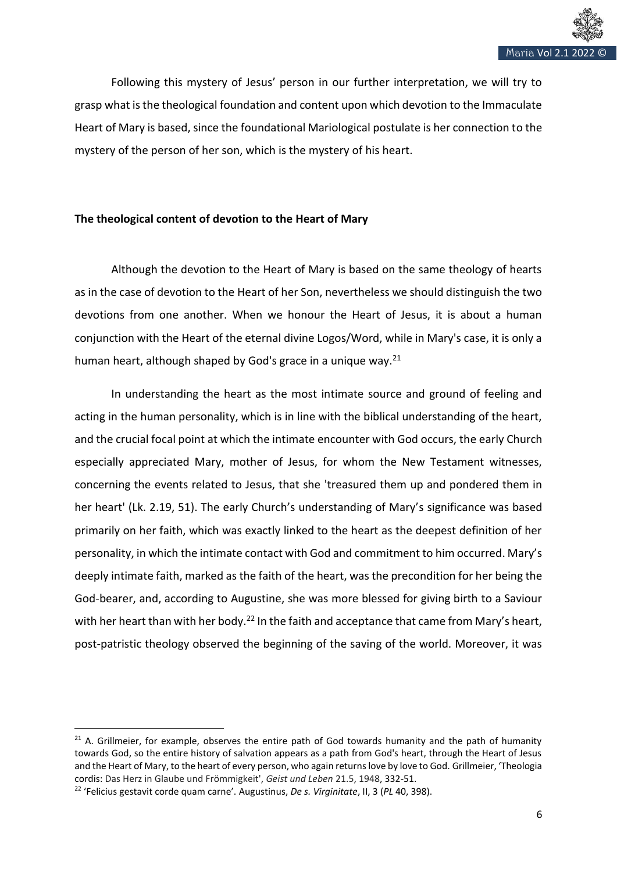

Following this mystery of Jesus' person in our further interpretation, we will try to grasp what is the theological foundation and content upon which devotion to the Immaculate Heart of Mary is based, since the foundational Mariological postulate is her connection to the mystery of the person of her son, which is the mystery of his heart.

# **The theological content of devotion to the Heart of Mary**

Although the devotion to the Heart of Mary is based on the same theology of hearts as in the case of devotion to the Heart of her Son, nevertheless we should distinguish the two devotions from one another. When we honour the Heart of Jesus, it is about a human conjunction with the Heart of the eternal divine Logos/Word, while in Mary's case, it is only a human heart, although shaped by God's grace in a unique way.<sup>21</sup>

In understanding the heart as the most intimate source and ground of feeling and acting in the human personality, which is in line with the biblical understanding of the heart, and the crucial focal point at which the intimate encounter with God occurs, the early Church especially appreciated Mary, mother of Jesus, for whom the New Testament witnesses, concerning the events related to Jesus, that she 'treasured them up and pondered them in her heart' (Lk. 2.19, 51). The early Church's understanding of Mary's significance was based primarily on her faith, which was exactly linked to the heart as the deepest definition of her personality, in which the intimate contact with God and commitment to him occurred. Mary's deeply intimate faith, marked as the faith of the heart, was the precondition for her being the God-bearer, and, according to Augustine, she was more blessed for giving birth to a Saviour with her heart than with her body.<sup>22</sup> In the faith and acceptance that came from Mary's heart, post-patristic theology observed the beginning of the saving of the world. Moreover, it was

 $21$  A. Grillmeier, for example, observes the entire path of God towards humanity and the path of humanity towards God, so the entire history of salvation appears as a path from God's heart, through the Heart of Jesus and the Heart of Mary, to the heart of every person, who again returns love by love to God. Grillmeier, ʻTheologia cordis: Das Herz in Glaube und Frömmigkeit', *Geist und Leben* 21.5, 1948, 332-51.

<sup>22</sup> 'Felicius gestavit corde quam carne'. Augustinus, *De s. Virginitate*, II, 3 (*PL* 40, 398).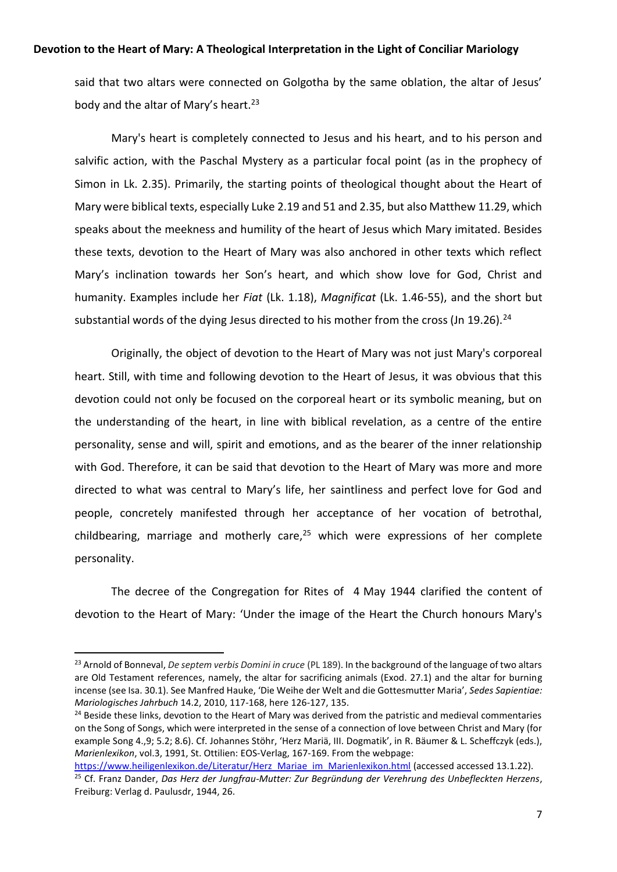said that two altars were connected on Golgotha by the same oblation, the altar of Jesus' body and the altar of Mary's heart.<sup>23</sup>

Mary's heart is completely connected to Jesus and his heart, and to his person and salvific action, with the Paschal Mystery as a particular focal point (as in the prophecy of Simon in Lk. 2.35). Primarily, the starting points of theological thought about the Heart of Mary were biblical texts, especially Luke 2.19 and 51 and 2.35, but also Matthew 11.29, which speaks about the meekness and humility of the heart of Jesus which Mary imitated. Besides these texts, devotion to the Heart of Mary was also anchored in other texts which reflect Mary's inclination towards her Son's heart, and which show love for God, Christ and humanity. Examples include her *Fiat* (Lk. 1.18), *Magnificat* (Lk. 1.46-55), and the short but substantial words of the dying Jesus directed to his mother from the cross (Jn 19.26).<sup>24</sup>

Originally, the object of devotion to the Heart of Mary was not just Mary's corporeal heart. Still, with time and following devotion to the Heart of Jesus, it was obvious that this devotion could not only be focused on the corporeal heart or its symbolic meaning, but on the understanding of the heart, in line with biblical revelation, as a centre of the entire personality, sense and will, spirit and emotions, and as the bearer of the inner relationship with God. Therefore, it can be said that devotion to the Heart of Mary was more and more directed to what was central to Mary's life, her saintliness and perfect love for God and people, concretely manifested through her acceptance of her vocation of betrothal, childbearing, marriage and motherly care, $25$  which were expressions of her complete personality.

The decree of the Congregation for Rites of 4 May 1944 clarified the content of devotion to the Heart of Mary: 'Under the image of the Heart the Church honours Mary's

<sup>23</sup> Arnold of Bonneval, *De septem verbis Domini in cruce* (PL 189). In the background of the language of two altars are Old Testament references, namely, the altar for sacrificing animals (Exod. 27.1) and the altar for burning incense (see Isa. 30.1). See Manfred Hauke, 'Die Weihe der Welt and die Gottesmutter Maria', *Sedes Sapientiae: Mariologisches Jahrbuch* 14.2, 2010, 117-168, here 126-127, 135.

<sup>&</sup>lt;sup>24</sup> Beside these links, devotion to the Heart of Mary was derived from the patristic and medieval commentaries on the Song of Songs, which were interpreted in the sense of a connection of love between Christ and Mary (for example Song 4.,9; 5.2; 8.6). Cf. Johannes Stöhr, 'Herz Mariä, III. Dogmatik', in R. Bäumer & L. Scheffczyk (eds.), *Marienlexikon*, vol.3, 1991, St. Ottilien: EOS-Verlag, 167-169. From the webpage:

[https://www.heiligenlexikon.de/Literatur/Herz\\_Mariae\\_im\\_Marienlexikon.html](https://www.heiligenlexikon.de/Literatur/Herz_Mariae_im_Marienlexikon.html) (accessed accessed 13.1.22). <sup>25</sup> Cf. Franz Dander, *Das Herz der Jungfrau-Mutter: Zur Begründung der Verehrung des Unbefleckten Herzens*, Freiburg: Verlag d. Paulusdr, 1944, 26.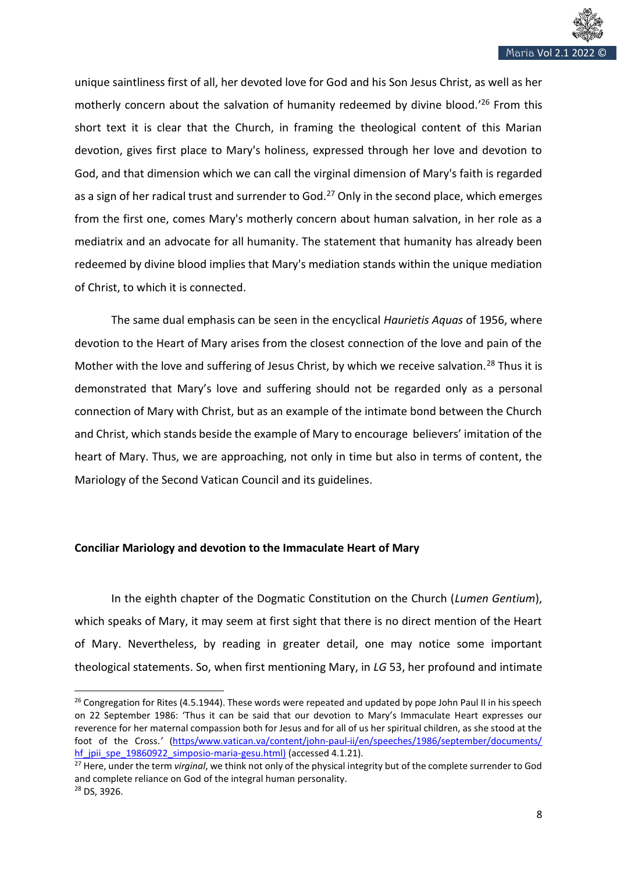

unique saintliness first of all, her devoted love for God and his Son Jesus Christ, as well as her motherly concern about the salvation of humanity redeemed by divine blood.' <sup>26</sup> From this short text it is clear that the Church, in framing the theological content of this Marian devotion, gives first place to Mary's holiness, expressed through her love and devotion to God, and that dimension which we can call the virginal dimension of Mary's faith is regarded as a sign of her radical trust and surrender to God. $^{27}$  Only in the second place, which emerges from the first one, comes Mary's motherly concern about human salvation, in her role as a mediatrix and an advocate for all humanity. The statement that humanity has already been redeemed by divine blood implies that Mary's mediation stands within the unique mediation of Christ, to which it is connected.

The same dual emphasis can be seen in the encyclical *Haurietis Aquas* of 1956, where devotion to the Heart of Mary arises from the closest connection of the love and pain of the Mother with the love and suffering of Jesus Christ, by which we receive salvation.<sup>28</sup> Thus it is demonstrated that Mary's love and suffering should not be regarded only as a personal connection of Mary with Christ, but as an example of the intimate bond between the Church and Christ, which stands beside the example of Mary to encourage believers' imitation of the heart of Mary. Thus, we are approaching, not only in time but also in terms of content, the Mariology of the Second Vatican Council and its guidelines.

#### **Conciliar Mariology and devotion to the Immaculate Heart of Mary**

In the eighth chapter of the Dogmatic Constitution on the Church (*Lumen Gentium*), which speaks of Mary, it may seem at first sight that there is no direct mention of the Heart of Mary. Nevertheless, by reading in greater detail, one may notice some important theological statements. So, when first mentioning Mary, in *LG* 53, her profound and intimate

<sup>&</sup>lt;sup>26</sup> Congregation for Rites (4.5.1944). These words were repeated and updated by pope John Paul II in his speech on 22 September 1986: 'Thus it can be said that our devotion to Mary's Immaculate Heart expresses our reverence for her maternal compassion both for Jesus and for all of us her spiritual children, as she stood at the foot of the Cross.*'* [\(https/www.vatican.va/content/john-paul-ii/en/speeches/1986/september/documents/](https://www.vatican.va/content/john-paul-ii/en/speeches/1986/september/documents/hf_jp-ii_spe_19860922_simposio-maria-gesu.html)  hf jpii\_spe\_19860922\_simposio-maria-gesu.html) (accessed 4.1.21).

<sup>27</sup> Here, under the term *virginal*, we think not only of the physical integrity but of the complete surrender to God and complete reliance on God of the integral human personality. <sup>28</sup> DS, 3926.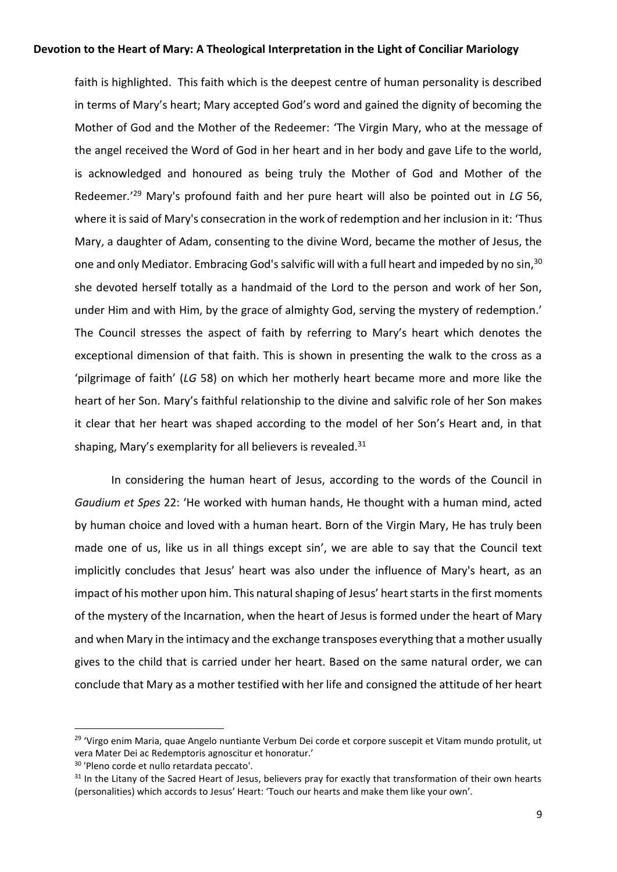faith is highlighted. This faith which is the deepest centre of human personality is described in terms of Mary's heart; Mary accepted God's word and gained the dignity of becoming the Mother of God and the Mother of the Redeemer: 'The Virgin Mary, who at the message of the angel received the Word of God in her heart and in her body and gave Life to the world, is acknowledged and honoured as being truly the Mother of God and Mother of the Redeemer*.*' <sup>29</sup> Mary's profound faith and her pure heart will also be pointed out in *LG* 56, where it is said of Mary's consecration in the work of redemption and her inclusion in it: 'Thus Mary, a daughter of Adam, consenting to the divine Word, became the mother of Jesus, the one and only Mediator. Embracing God's salvific will with a full heart and impeded by no sin,<sup>30</sup> she devoted herself totally as a handmaid of the Lord to the person and work of her Son, under Him and with Him, by the grace of almighty God, serving the mystery of redemption.' The Council stresses the aspect of faith by referring to Mary's heart which denotes the exceptional dimension of that faith. This is shown in presenting the walk to the cross as a 'pilgrimage of faith' (*LG* 58) on which her motherly heart became more and more like the heart of her Son. Mary's faithful relationship to the divine and salvific role of her Son makes it clear that her heart was shaped according to the model of her Son's Heart and, in that shaping, Mary's exemplarity for all believers is revealed.<sup>31</sup>

In considering the human heart of Jesus, according to the words of the Council in *Gaudium et Spes* 22: 'He worked with human hands, He thought with a human mind, acted by human choice and loved with a human heart. Born of the Virgin Mary, He has truly been made one of us, like us in all things except sin', we are able to say that the Council text implicitly concludes that Jesus' heart was also under the influence of Mary's heart, as an impact of his mother upon him. This natural shaping of Jesus' heart starts in the first moments of the mystery of the Incarnation, when the heart of Jesus is formed under the heart of Mary and when Mary in the intimacy and the exchange transposes everything that a mother usually gives to the child that is carried under her heart. Based on the same natural order, we can conclude that Mary as a mother testified with her life and consigned the attitude of her heart

<sup>&</sup>lt;sup>29</sup> 'Virgo enim Maria, quae Angelo nuntiante Verbum Dei corde et corpore suscepit et Vitam mundo protulit, ut vera Mater Dei ac Redemptoris agnoscitur et honoratur.'

<sup>30</sup> 'Pleno corde et nullo retardata peccato'.

<sup>&</sup>lt;sup>31</sup> In the Litany of the Sacred Heart of Jesus, believers pray for exactly that transformation of their own hearts (personalities) which accords to Jesus' Heart: 'Touch our hearts and make them like your own'.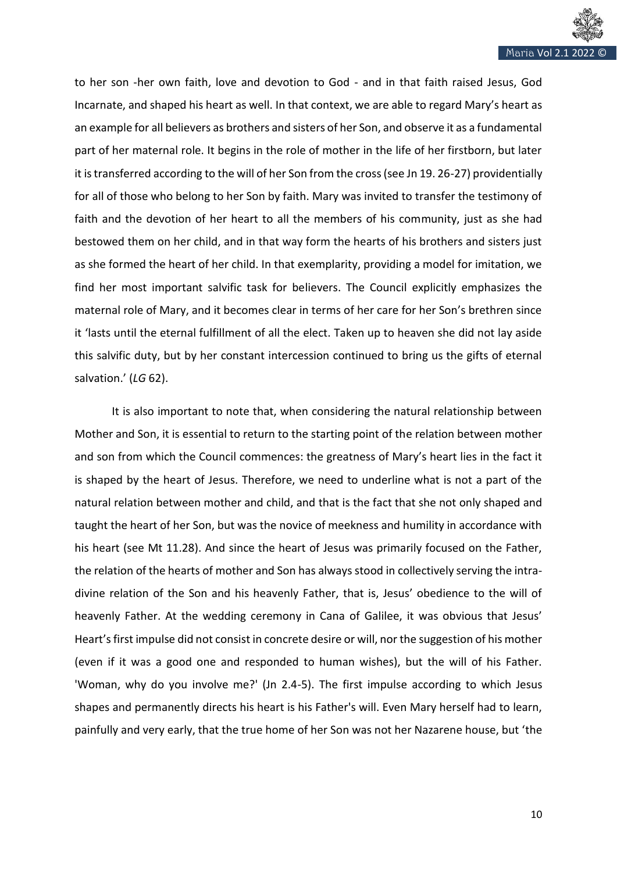

to her son -her own faith, love and devotion to God - and in that faith raised Jesus, God Incarnate, and shaped his heart as well. In that context, we are able to regard Mary's heart as an example for all believers as brothers and sisters of her Son, and observe it as a fundamental part of her maternal role. It begins in the role of mother in the life of her firstborn, but later it is transferred according to the will of her Son from the cross (see Jn 19. 26-27) providentially for all of those who belong to her Son by faith. Mary was invited to transfer the testimony of faith and the devotion of her heart to all the members of his community, just as she had bestowed them on her child, and in that way form the hearts of his brothers and sisters just as she formed the heart of her child. In that exemplarity, providing a model for imitation, we find her most important salvific task for believers. The Council explicitly emphasizes the maternal role of Mary, and it becomes clear in terms of her care for her Son's brethren since it 'lasts until the eternal fulfillment of all the elect. Taken up to heaven she did not lay aside this salvific duty, but by her constant intercession continued to bring us the gifts of eternal salvation.' (*LG* 62).

It is also important to note that, when considering the natural relationship between Mother and Son, it is essential to return to the starting point of the relation between mother and son from which the Council commences: the greatness of Mary's heart lies in the fact it is shaped by the heart of Jesus. Therefore, we need to underline what is not a part of the natural relation between mother and child, and that is the fact that she not only shaped and taught the heart of her Son, but was the novice of meekness and humility in accordance with his heart (see Mt 11.28). And since the heart of Jesus was primarily focused on the Father, the relation of the hearts of mother and Son has always stood in collectively serving the intradivine relation of the Son and his heavenly Father, that is, Jesus' obedience to the will of heavenly Father. At the wedding ceremony in Cana of Galilee, it was obvious that Jesus' Heart's first impulse did not consist in concrete desire or will, nor the suggestion of his mother (even if it was a good one and responded to human wishes), but the will of his Father. 'Woman, why do you involve me?' (Jn 2.4-5). The first impulse according to which Jesus shapes and permanently directs his heart is his Father's will. Even Mary herself had to learn, painfully and very early, that the true home of her Son was not her Nazarene house, but 'the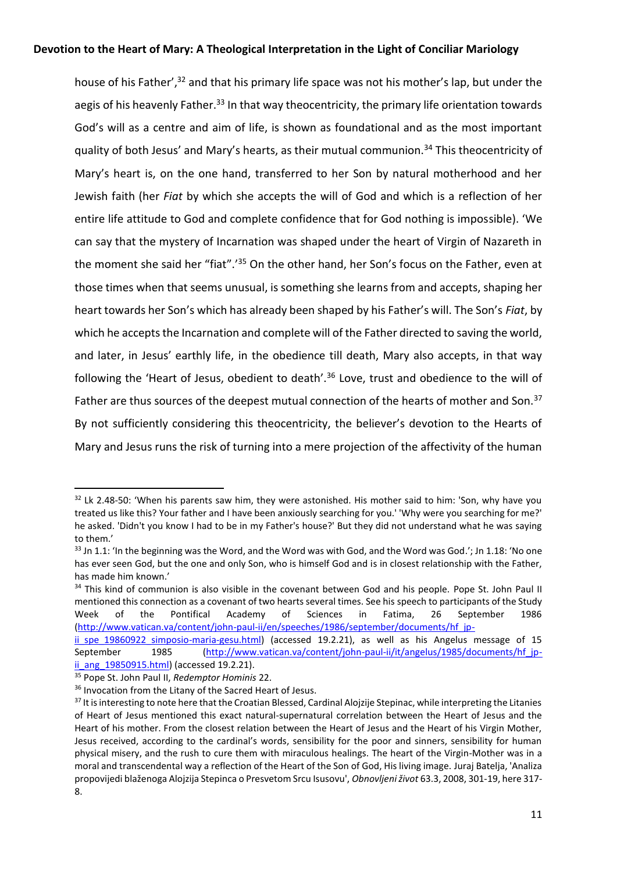house of his Father',<sup>32</sup> and that his primary life space was not his mother's lap, but under the aegis of his heavenly Father.<sup>33</sup> In that way theocentricity, the primary life orientation towards God's will as a centre and aim of life, is shown as foundational and as the most important quality of both Jesus' and Mary's hearts, as their mutual communion.<sup>34</sup> This theocentricity of Mary's heart is, on the one hand, transferred to her Son by natural motherhood and her Jewish faith (her *Fiat* by which she accepts the will of God and which is a reflection of her entire life attitude to God and complete confidence that for God nothing is impossible). 'We can say that the mystery of Incarnation was shaped under the heart of Virgin of Nazareth in the moment she said her "fiat".'<sup>35</sup> On the other hand, her Son's focus on the Father, even at those times when that seems unusual, is something she learns from and accepts, shaping her heart towards her Son's which has already been shaped by his Father's will. The Son's *Fiat*, by which he accepts the Incarnation and complete will of the Father directed to saving the world, and later, in Jesus' earthly life, in the obedience till death, Mary also accepts, in that way following the 'Heart of Jesus, obedient to death'.<sup>36</sup> Love, trust and obedience to the will of Father are thus sources of the deepest mutual connection of the hearts of mother and Son.<sup>37</sup> By not sufficiently considering this theocentricity, the believer's devotion to the Hearts of Mary and Jesus runs the risk of turning into a mere projection of the affectivity of the human

<sup>&</sup>lt;sup>32</sup> Lk 2.48-50: 'When his parents saw him, they were astonished. His mother said to him: 'Son, why have you treated us like this? Your father and I have been anxiously searching for you.' 'Why were you searching for me?' he asked. 'Didn't you know I had to be in my Father's house?' But they did not understand what he was saying to them.'

 $33$  Jn 1.1: 'In the beginning was the Word, and the Word was with God, and the Word was God.'; Jn 1.18: 'No one has ever seen God, but the one and only Son, who is himself God and is in closest relationship with the Father, has made him known.'

<sup>&</sup>lt;sup>34</sup> This kind of communion is also visible in the covenant between God and his people. Pope St. John Paul II mentioned this connection as a covenant of two hearts several times. See his speech to participants of the Study Week of the Pontifical Academy of Sciences in Fatima, 26 September 1986 [\(http://www.vatican.va/content/john-paul-ii/en/speeches/1986/september/documents/hf\\_jp-](http://www.vatican.va/content/john-paul-ii/en/speeches/1986/september/documents/hf_jp-ii_spe_19860922_simposio-maria-gesu.html)

ii spe 19860922 simposio-maria-gesu.html) (accessed 19.2.21), as well as his Angelus message of 15 September 1985 (http://www.vatican.va/content/john-paul-ii/it/angelus/1985/documents/hf jp[ii\\_ang\\_19850915.html\)](http://www.vatican.va/content/john-paul-ii/it/angelus/1985/documents/hf_jp-ii_ang_19850915.html) (accessed 19.2.21).

<sup>35</sup> Pope St. John Paul II, *Redemptor Hominis* 22.

<sup>&</sup>lt;sup>36</sup> Invocation from the Litany of the Sacred Heart of Jesus.

<sup>37</sup> It is interesting to note here that the Croatian Blessed, Cardinal Alojzije Stepinac, while interpreting the Litanies of Heart of Jesus mentioned this exact natural-supernatural correlation between the Heart of Jesus and the Heart of his mother. From the closest relation between the Heart of Jesus and the Heart of his Virgin Mother, Jesus received, according to the cardinal's words, sensibility for the poor and sinners, sensibility for human physical misery, and the rush to cure them with miraculous healings. The heart of the Virgin-Mother was in a moral and transcendental way a reflection of the Heart of the Son of God, His living image. Juraj Batelja, 'Analiza propovijedi blaženoga Alojzija Stepinca o Presvetom Srcu Isusovu', *Obnovljeni život* 63.3, 2008, 301-19, here 317- 8.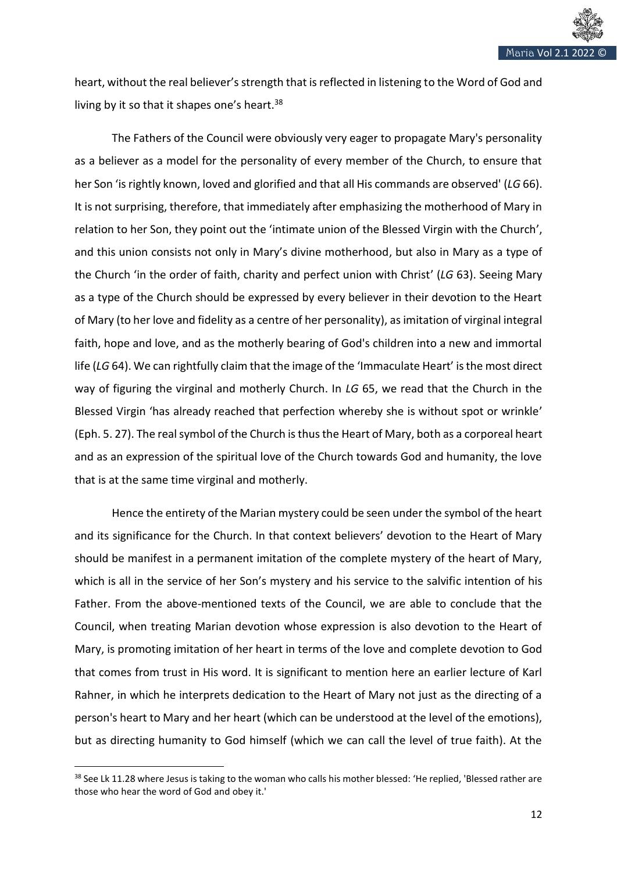

heart, without the real believer's strength that is reflected in listening to the Word of God and living by it so that it shapes one's heart.<sup>38</sup>

The Fathers of the Council were obviously very eager to propagate Mary's personality as a believer as a model for the personality of every member of the Church, to ensure that her Son 'is rightly known, loved and glorified and that all His commands are observed' (LG 66). It is not surprising, therefore, that immediately after emphasizing the motherhood of Mary in relation to her Son, they point out the 'intimate union of the Blessed Virgin with the Church', and this union consists not only in Mary's divine motherhood, but also in Mary as a type of the Church 'in the order of faith, charity and perfect union with Christ' (*LG* 63). Seeing Mary as a type of the Church should be expressed by every believer in their devotion to the Heart of Mary (to her love and fidelity as a centre of her personality), as imitation of virginal integral faith, hope and love, and as the motherly bearing of God's children into a new and immortal life (*LG* 64). We can rightfully claim that the image of the 'Immaculate Heart' is the most direct way of figuring the virginal and motherly Church. In *LG* 65, we read that the Church in the Blessed Virgin 'has already reached that perfection whereby she is without spot or wrinkle' (Eph. 5. 27). The real symbol of the Church is thus the Heart of Mary, both as a corporeal heart and as an expression of the spiritual love of the Church towards God and humanity, the love that is at the same time virginal and motherly.

Hence the entirety of the Marian mystery could be seen under the symbol of the heart and its significance for the Church. In that context believers' devotion to the Heart of Mary should be manifest in a permanent imitation of the complete mystery of the heart of Mary, which is all in the service of her Son's mystery and his service to the salvific intention of his Father. From the above-mentioned texts of the Council, we are able to conclude that the Council, when treating Marian devotion whose expression is also devotion to the Heart of Mary, is promoting imitation of her heart in terms of the love and complete devotion to God that comes from trust in His word. It is significant to mention here an earlier lecture of Karl Rahner, in which he interprets dedication to the Heart of Mary not just as the directing of a person's heart to Mary and her heart (which can be understood at the level of the emotions), but as directing humanity to God himself (which we can call the level of true faith). At the

<sup>&</sup>lt;sup>38</sup> See Lk 11.28 where Jesus is taking to the woman who calls his mother blessed: 'He replied, 'Blessed rather are those who hear the word of God and obey it.'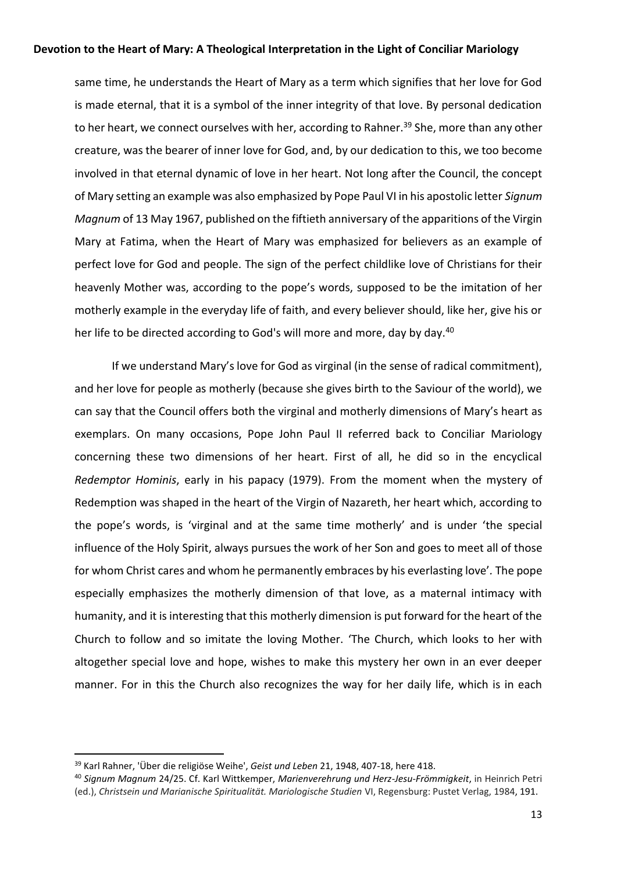same time, he understands the Heart of Mary as a term which signifies that her love for God is made eternal, that it is a symbol of the inner integrity of that love. By personal dedication to her heart, we connect ourselves with her, according to Rahner.<sup>39</sup> She, more than any other creature, was the bearer of inner love for God, and, by our dedication to this, we too become involved in that eternal dynamic of love in her heart. Not long after the Council, the concept of Mary setting an example was also emphasized by Pope Paul VI in his apostolic letter *Signum Magnum* of 13 May 1967, published on the fiftieth anniversary of the apparitions of the Virgin Mary at Fatima, when the Heart of Mary was emphasized for believers as an example of perfect love for God and people. The sign of the perfect childlike love of Christians for their heavenly Mother was, according to the pope's words, supposed to be the imitation of her motherly example in the everyday life of faith, and every believer should, like her, give his or her life to be directed according to God's will more and more, day by day.<sup>40</sup>

If we understand Mary's love for God as virginal (in the sense of radical commitment), and her love for people as motherly (because she gives birth to the Saviour of the world), we can say that the Council offers both the virginal and motherly dimensions of Mary's heart as exemplars. On many occasions, Pope John Paul II referred back to Conciliar Mariology concerning these two dimensions of her heart. First of all, he did so in the encyclical *Redemptor Hominis*, early in his papacy (1979). From the moment when the mystery of Redemption was shaped in the heart of the Virgin of Nazareth, her heart which, according to the pope's words, is 'virginal and at the same time motherly' and is under 'the special influence of the Holy Spirit, always pursues the work of her Son and goes to meet all of those for whom Christ cares and whom he permanently embraces by his everlasting love'*.* The pope especially emphasizes the motherly dimension of that love, as a maternal intimacy with humanity, and it is interesting that this motherly dimension is put forward for the heart of the Church to follow and so imitate the loving Mother. 'The Church, which looks to her with altogether special love and hope, wishes to make this mystery her own in an ever deeper manner. For in this the Church also recognizes the way for her daily life, which is in each

<sup>39</sup> Karl Rahner, 'Über die religiöse Weihe', *Geist und Leben* 21, 1948, 407-18, here 418.

<sup>40</sup> *Signum Magnum* 24/25. Cf. Karl Wittkemper, *Marienverehrung und Herz-Jesu-Frömmigkeit*, in Heinrich Petri (ed.), *Christsein und Marianische Spiritualität. Mariologische Studien* VI, Regensburg: Pustet Verlag, 1984, 191.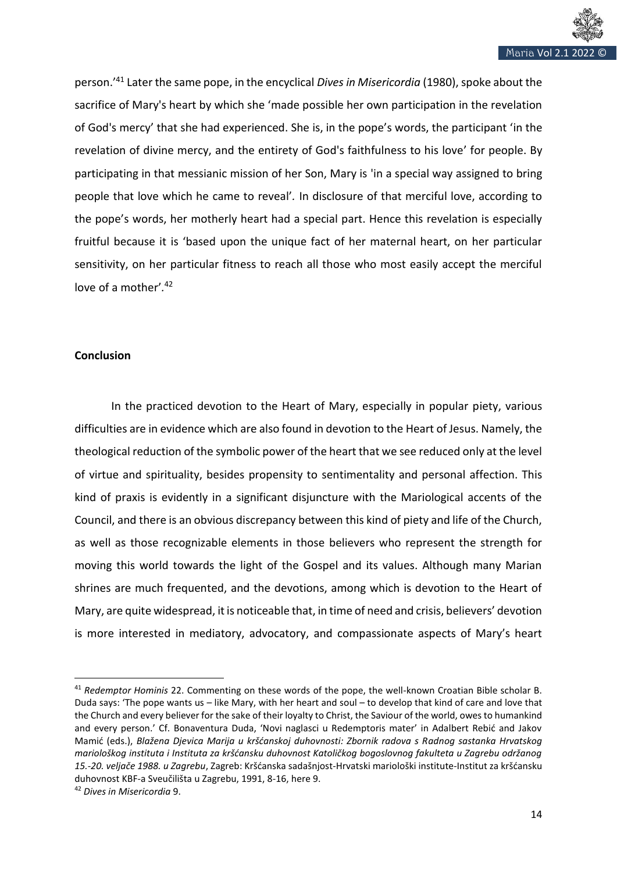

person.' <sup>41</sup> Later the same pope, in the encyclical *Dives in Misericordia* (1980), spoke about the sacrifice of Mary's heart by which she 'made possible her own participation in the revelation of God's mercy' that she had experienced. She is, in the pope's words, the participant 'in the revelation of divine mercy, and the entirety of God's faithfulness to his love' for people. By participating in that messianic mission of her Son, Mary is 'in a special way assigned to bring people that love which he came to reveal'*.* In disclosure of that merciful love, according to the pope's words, her motherly heart had a special part. Hence this revelation is especially fruitful because it is 'based upon the unique fact of her maternal heart, on her particular sensitivity, on her particular fitness to reach all those who most easily accept the merciful love of a mother'*.* 42

### **Conclusion**

In the practiced devotion to the Heart of Mary, especially in popular piety, various difficulties are in evidence which are also found in devotion to the Heart of Jesus. Namely, the theological reduction of the symbolic power of the heart that we see reduced only at the level of virtue and spirituality, besides propensity to sentimentality and personal affection. This kind of praxis is evidently in a significant disjuncture with the Mariological accents of the Council, and there is an obvious discrepancy between this kind of piety and life of the Church, as well as those recognizable elements in those believers who represent the strength for moving this world towards the light of the Gospel and its values. Although many Marian shrines are much frequented, and the devotions, among which is devotion to the Heart of Mary, are quite widespread, it is noticeable that, in time of need and crisis, believers' devotion is more interested in mediatory, advocatory, and compassionate aspects of Mary's heart

<sup>41</sup> *Redemptor Hominis* 22. Commenting on these words of the pope, the well-known Croatian Bible scholar B. Duda says: 'The pope wants us – like Mary, with her heart and soul – to develop that kind of care and love that the Church and every believer for the sake of their loyalty to Christ, the Saviour of the world, owes to humankind and every person.' Cf. Bonaventura Duda, 'Novi naglasci u Redemptoris mater' in Adalbert Rebić and Jakov Mamić (eds.), *Blažena Djevica Marija u kršćanskoj duhovnosti: Zbornik radova s Radnog sastanka Hrvatskog mariološkog instituta i Instituta za kršćansku duhovnost Katoličkog bogoslovnog fakulteta u Zagrebu održanog 15.-20. veljače 1988. u Zagrebu*, Zagreb: Kršćanska sadašnjost-Hrvatski mariološki institute-Institut za kršćansku duhovnost KBF-a Sveučilišta u Zagrebu, 1991, 8-16, here 9.

<sup>42</sup> *Dives in Misericordia* 9.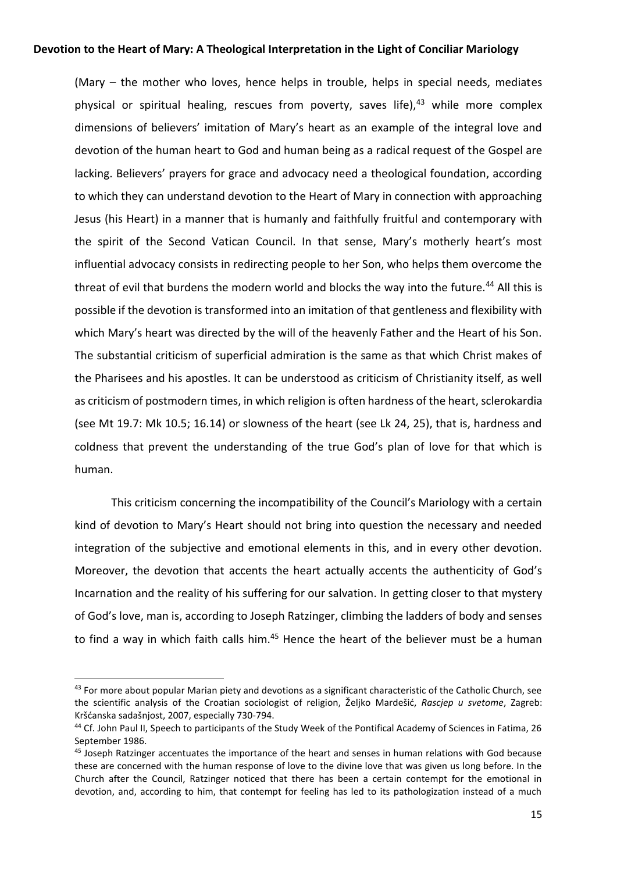(Mary – the mother who loves, hence helps in trouble, helps in special needs, mediates physical or spiritual healing, rescues from poverty, saves life), $43$  while more complex dimensions of believers' imitation of Mary's heart as an example of the integral love and devotion of the human heart to God and human being as a radical request of the Gospel are lacking. Believers' prayers for grace and advocacy need a theological foundation, according to which they can understand devotion to the Heart of Mary in connection with approaching Jesus (his Heart) in a manner that is humanly and faithfully fruitful and contemporary with the spirit of the Second Vatican Council. In that sense, Mary's motherly heart's most influential advocacy consists in redirecting people to her Son, who helps them overcome the threat of evil that burdens the modern world and blocks the way into the future.<sup>44</sup> All this is possible if the devotion is transformed into an imitation of that gentleness and flexibility with which Mary's heart was directed by the will of the heavenly Father and the Heart of his Son. The substantial criticism of superficial admiration is the same as that which Christ makes of the Pharisees and his apostles. It can be understood as criticism of Christianity itself, as well as criticism of postmodern times, in which religion is often hardness of the heart, sclerokardia (see Mt 19.7: Mk 10.5; 16.14) or slowness of the heart (see Lk 24, 25), that is, hardness and coldness that prevent the understanding of the true God's plan of love for that which is human.

This criticism concerning the incompatibility of the Council's Mariology with a certain kind of devotion to Mary's Heart should not bring into question the necessary and needed integration of the subjective and emotional elements in this, and in every other devotion. Moreover, the devotion that accents the heart actually accents the authenticity of God's Incarnation and the reality of his suffering for our salvation. In getting closer to that mystery of God's love, man is, according to Joseph Ratzinger, climbing the ladders of body and senses to find a way in which faith calls him.<sup>45</sup> Hence the heart of the believer must be a human

<sup>&</sup>lt;sup>43</sup> For more about popular Marian piety and devotions as a significant characteristic of the Catholic Church, see the scientific analysis of the Croatian sociologist of religion, Željko Mardešić, *Rascjep u svetome*, Zagreb: Kršćanska sadašnjost, 2007, especially 730-794.

<sup>44</sup> Cf. John Paul II, Speech to participants of the Study Week of the Pontifical Academy of Sciences in Fatima, 26 September 1986.

<sup>&</sup>lt;sup>45</sup> Joseph Ratzinger accentuates the importance of the heart and senses in human relations with God because these are concerned with the human response of love to the divine love that was given us long before. In the Church after the Council, Ratzinger noticed that there has been a certain contempt for the emotional in devotion, and, according to him, that contempt for feeling has led to its pathologization instead of a much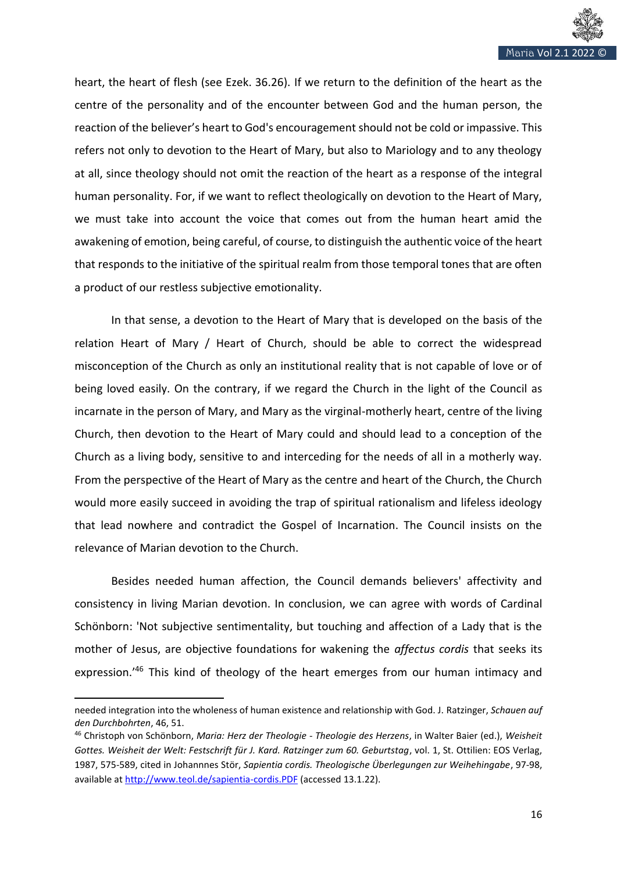

heart, the heart of flesh (see Ezek. 36.26). If we return to the definition of the heart as the centre of the personality and of the encounter between God and the human person, the reaction of the believer's heart to God's encouragement should not be cold or impassive. This refers not only to devotion to the Heart of Mary, but also to Mariology and to any theology at all, since theology should not omit the reaction of the heart as a response of the integral human personality. For, if we want to reflect theologically on devotion to the Heart of Mary, we must take into account the voice that comes out from the human heart amid the awakening of emotion, being careful, of course, to distinguish the authentic voice of the heart that responds to the initiative of the spiritual realm from those temporal tones that are often a product of our restless subjective emotionality.

In that sense, a devotion to the Heart of Mary that is developed on the basis of the relation Heart of Mary / Heart of Church, should be able to correct the widespread misconception of the Church as only an institutional reality that is not capable of love or of being loved easily. On the contrary, if we regard the Church in the light of the Council as incarnate in the person of Mary, and Mary as the virginal-motherly heart, centre of the living Church, then devotion to the Heart of Mary could and should lead to a conception of the Church as a living body, sensitive to and interceding for the needs of all in a motherly way. From the perspective of the Heart of Mary as the centre and heart of the Church, the Church would more easily succeed in avoiding the trap of spiritual rationalism and lifeless ideology that lead nowhere and contradict the Gospel of Incarnation. The Council insists on the relevance of Marian devotion to the Church.

Besides needed human affection, the Council demands believers' affectivity and consistency in living Marian devotion. In conclusion, we can agree with words of Cardinal Schönborn: 'Not subjective sentimentality, but touching and affection of a Lady that is the mother of Jesus, are objective foundations for wakening the *affectus cordis* that seeks its expression.'<sup>46</sup> This kind of theology of the heart emerges from our human intimacy and

needed integration into the wholeness of human existence and relationship with God. J. Ratzinger, *Schauen auf den Durchbohrten*, 46, 51.

<sup>46</sup> Christoph von Schönborn, *Maria: Herz der Theologie - Theologie des Herzens*, in Walter Baier (ed.), *Weisheit Gottes. Weisheit der Welt: Festschrift für J. Kard. Ratzinger zum 60. Geburtstag*, vol. 1, St. Ottilien: EOS Verlag, 1987, 575-589, cited in Johannnes Stör, *Sapientia cordis. Theologische Überlegungen zur Weihehingabe*, 97-98, available a[t http://www.teol.de/sapientia-cordis.PDF](http://www.teol.de/sapientia-cordis.PDF) (accessed 13.1.22).